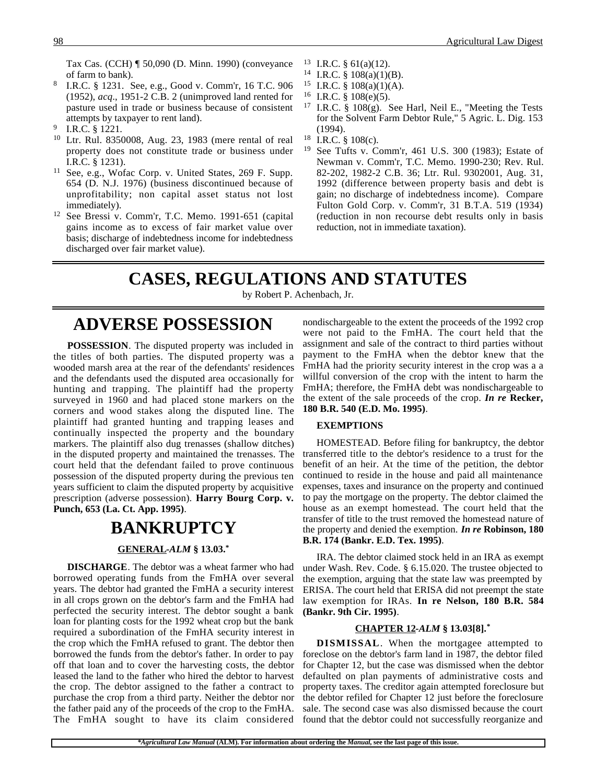Tax Cas. (CCH) ¶ 50,090 (D. Minn. 1990) (conveyance of farm to bank).

- <sup>8</sup> I.R.C. § 1231. See, e.g., Good v. Comm'r, 16 T.C. 906 (1952), *acq*., 1951-2 C.B. 2 (unimproved land rented for pasture used in trade or business because of consistent attempts by taxpayer to rent land).
- <sup>9</sup> I.R.C. § 1221.
- <sup>10</sup> Ltr. Rul. 8350008, Aug. 23, 1983 (mere rental of real property does not constitute trade or business under I.R.C. § 1231).
- <sup>11</sup> See, e.g., Wofac Corp. v. United States, 269 F. Supp. 654 (D. N.J. 1976) (business discontinued because of unprofitability; non capital asset status not lost immediately).
- <sup>12</sup> See Bressi v. Comm'r, T.C. Memo. 1991-651 (capital gains income as to excess of fair market value over basis; discharge of indebtedness income for indebtedness discharged over fair market value).
- <sup>13</sup> I.R.C. § 61(a)(12).
- <sup>14</sup> I.R.C. § 108(a)(1)(B).
- <sup>15</sup> I.R.C. § 108(a)(1)(A).
- <sup>16</sup> I.R.C. § 108(e)(5).
- <sup>17</sup> I.R.C. § 108 $(g)$ . See Harl, Neil E., "Meeting the Tests for the Solvent Farm Debtor Rule," 5 Agric. L. Dig. 153 (1994).
- <sup>18</sup> I.R.C.  $\S$  108(c).<br><sup>19</sup> See Tufts v. Co.
- See Tufts v. Comm'r, 461 U.S. 300 (1983); Estate of Newman v. Comm'r, T.C. Memo. 1990-230; Rev. Rul. 82-202, 1982-2 C.B. 36; Ltr. Rul. 9302001, Aug. 31, 1992 (difference between property basis and debt is gain; no discharge of indebtedness income). Compare Fulton Gold Corp. v. Comm'r, 31 B.T.A. 519 (1934) (reduction in non recourse debt results only in basis reduction, not in immediate taxation).

# **CASES, REGULATIONS AND STATUTES**

by Robert P. Achenbach, Jr.

## **ADVERSE POSSESSION**

**POSSESSION**. The disputed property was included in the titles of both parties. The disputed property was a wooded marsh area at the rear of the defendants' residences and the defendants used the disputed area occasionally for hunting and trapping. The plaintiff had the property surveyed in 1960 and had placed stone markers on the corners and wood stakes along the disputed line. The plaintiff had granted hunting and trapping leases and continually inspected the property and the boundary markers. The plaintiff also dug trenasses (shallow ditches) in the disputed property and maintained the trenasses. The court held that the defendant failed to prove continuous possession of the disputed property during the previous ten years sufficient to claim the disputed property by acquisitive prescription (adverse possession). **Harry Bourg Corp. v. Punch, 653 (La. Ct. App. 1995)**.

### **BANKRUPTCY**

#### **GENERAL -***ALM* **§ 13.03.\***

**DISCHARGE**. The debtor was a wheat farmer who had borrowed operating funds from the FmHA over several years. The debtor had granted the FmHA a security interest in all crops grown on the debtor's farm and the FmHA had perfected the security interest. The debtor sought a bank loan for planting costs for the 1992 wheat crop but the bank required a subordination of the FmHA security interest in the crop which the FmHA refused to grant. The debtor then borrowed the funds from the debtor's father. In order to pay off that loan and to cover the harvesting costs, the debtor leased the land to the father who hired the debtor to harvest the crop. The debtor assigned to the father a contract to purchase the crop from a third party. Neither the debtor nor the father paid any of the proceeds of the crop to the FmHA. The FmHA sought to have its claim considered

nondischargeable to the extent the proceeds of the 1992 crop were not paid to the FmHA. The court held that the assignment and sale of the contract to third parties without payment to the FmHA when the debtor knew that the FmHA had the priority security interest in the crop was a a willful conversion of the crop with the intent to harm the FmHA; therefore, the FmHA debt was nondischargeable to the extent of the sale proceeds of the crop. *In re* **Recker, 180 B.R. 540 (E.D. Mo. 1995)**.

#### **EXEMPTIONS**

HOMESTEAD. Before filing for bankruptcy, the debtor transferred title to the debtor's residence to a trust for the benefit of an heir. At the time of the petition, the debtor continued to reside in the house and paid all maintenance expenses, taxes and insurance on the property and continued to pay the mortgage on the property. The debtor claimed the house as an exempt homestead. The court held that the transfer of title to the trust removed the homestead nature of the property and denied the exemption. *In re* **Robinson, 180 B.R. 174 (Bankr. E.D. Tex. 1995)**.

IRA. The debtor claimed stock held in an IRA as exempt under Wash. Rev. Code. § 6.15.020. The trustee objected to the exemption, arguing that the state law was preempted by ERISA. The court held that ERISA did not preempt the state law exemption for IRAs. **In re Nelson, 180 B.R. 584 (Bankr. 9th Cir. 1995)**.

#### **CHAPTER 12 -***ALM* **§ 13.03[8].\***

**DISMISSAL**. When the mortgagee attempted to foreclose on the debtor's farm land in 1987, the debtor filed for Chapter 12, but the case was dismissed when the debtor defaulted on plan payments of administrative costs and property taxes. The creditor again attempted foreclosure but the debtor refiled for Chapter 12 just before the foreclosure sale. The second case was also dismissed because the court found that the debtor could not successfully reorganize and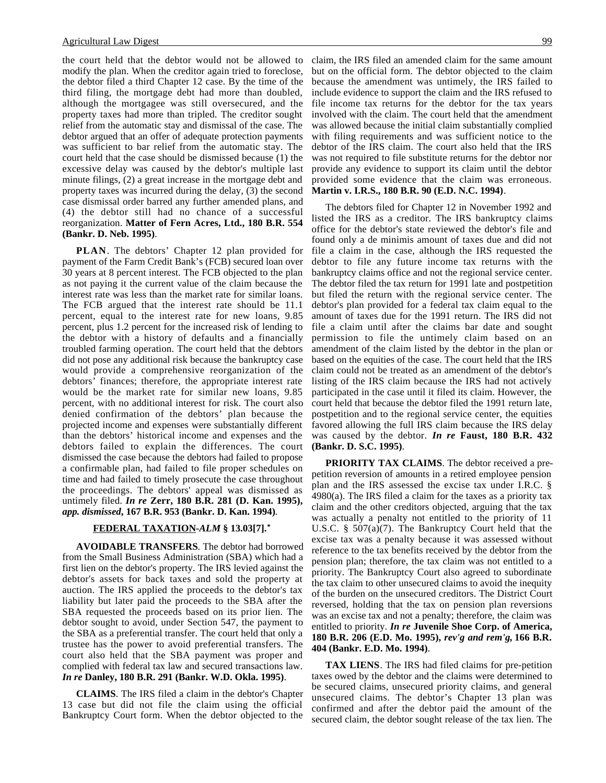the court held that the debtor would not be allowed to modify the plan. When the creditor again tried to foreclose, the debtor filed a third Chapter 12 case. By the time of the third filing, the mortgage debt had more than doubled, although the mortgagee was still oversecured, and the property taxes had more than tripled. The creditor sought relief from the automatic stay and dismissal of the case. The debtor argued that an offer of adequate protection payments was sufficient to bar relief from the automatic stay. The court held that the case should be dismissed because (1) the excessive delay was caused by the debtor's multiple last minute filings, (2) a great increase in the mortgage debt and property taxes was incurred during the delay, (3) the second case dismissal order barred any further amended plans, and (4) the debtor still had no chance of a successful reorganization. **Matter of Fern Acres, Ltd., 180 B.R. 554 (Bankr. D. Neb. 1995)**.

**PLAN**. The debtors' Chapter 12 plan provided for payment of the Farm Credit Bank's (FCB) secured loan over 30 years at 8 percent interest. The FCB objected to the plan as not paying it the current value of the claim because the interest rate was less than the market rate for similar loans. The FCB argued that the interest rate should be 11.1 percent, equal to the interest rate for new loans, 9.85 percent, plus 1.2 percent for the increased risk of lending to the debtor with a history of defaults and a financially troubled farming operation. The court held that the debtors did not pose any additional risk because the bankruptcy case would provide a comprehensive reorganization of the debtors' finances; therefore, the appropriate interest rate would be the market rate for similar new loans, 9.85 percent, with no additional interest for risk. The court also denied confirmation of the debtors' plan because the projected income and expenses were substantially different than the debtors' historical income and expenses and the debtors failed to explain the differences. The court dismissed the case because the debtors had failed to propose a confirmable plan, had failed to file proper schedules on time and had failed to timely prosecute the case throughout the proceedings. The debtors' appeal was dismissed as untimely filed. *In re* **Zerr, 180 B.R. 281 (D. Kan. 1995),** *app. dismissed***, 167 B.R. 953 (Bankr. D. Kan. 1994)**.

#### **FEDERAL TAXATION -***ALM* **§ 13.03[7].\***

**AVOIDABLE TRANSFERS**. The debtor had borrowed from the Small Business Administration (SBA) which had a first lien on the debtor's property. The IRS levied against the debtor's assets for back taxes and sold the property at auction. The IRS applied the proceeds to the debtor's tax liability but later paid the proceeds to the SBA after the SBA requested the proceeds based on its prior lien. The debtor sought to avoid, under Section 547, the payment to the SBA as a preferential transfer. The court held that only a trustee has the power to avoid preferential transfers. The court also held that the SBA payment was proper and complied with federal tax law and secured transactions law. *In re* **Danley, 180 B.R. 291 (Bankr. W.D. Okla. 1995)**.

**CLAIMS**. The IRS filed a claim in the debtor's Chapter 13 case but did not file the claim using the official Bankruptcy Court form. When the debtor objected to the

claim, the IRS filed an amended claim for the same amount but on the official form. The debtor objected to the claim because the amendment was untimely, the IRS failed to include evidence to support the claim and the IRS refused to file income tax returns for the debtor for the tax years involved with the claim. The court held that the amendment was allowed because the initial claim substantially complied with filing requirements and was sufficient notice to the debtor of the IRS claim. The court also held that the IRS was not required to file substitute returns for the debtor nor provide any evidence to support its claim until the debtor provided some evidence that the claim was erroneous. **Martin v. I.R.S., 180 B.R. 90 (E.D. N.C. 1994)**.

The debtors filed for Chapter 12 in November 1992 and listed the IRS as a creditor. The IRS bankruptcy claims office for the debtor's state reviewed the debtor's file and found only a de minimis amount of taxes due and did not file a claim in the case, although the IRS requested the debtor to file any future income tax returns with the bankruptcy claims office and not the regional service center. The debtor filed the tax return for 1991 late and postpetition but filed the return with the regional service center. The debtor's plan provided for a federal tax claim equal to the amount of taxes due for the 1991 return. The IRS did not file a claim until after the claims bar date and sought permission to file the untimely claim based on an amendment of the claim listed by the debtor in the plan or based on the equities of the case. The court held that the IRS claim could not be treated as an amendment of the debtor's listing of the IRS claim because the IRS had not actively participated in the case until it filed its claim. However, the court held that because the debtor filed the 1991 return late, postpetition and to the regional service center, the equities favored allowing the full IRS claim because the IRS delay was caused by the debtor. *In re* **Faust, 180 B.R. 432 (Bankr. D. S.C. 1995)**.

**PRIORITY TAX CLAIMS**. The debtor received a prepetition reversion of amounts in a retired employee pension plan and the IRS assessed the excise tax under I.R.C. §  $4980(a)$ . The IRS filed a claim for the taxes as a priority tax claim and the other creditors objected, arguing that the tax was actually a penalty not entitled to the priority of 11 U.S.C. § 507(a)(7). The Bankruptcy Court held that the excise tax was a penalty because it was assessed without reference to the tax benefits received by the debtor from the pension plan; therefore, the tax claim was not entitled to a priority. The Bankruptcy Court also agreed to subordinate the tax claim to other unsecured claims to avoid the inequity of the burden on the unsecured creditors. The District Court reversed, holding that the tax on pension plan reversions was an excise tax and not a penalty; therefore, the claim was entitled to priority. *In re* **Juvenile Shoe Corp. of America, 180 B.R. 206 (E.D. Mo. 1995),** *rev'g and rem'g,* **166 B.R. 404 (Bankr. E.D. Mo. 1994)**.

**TAX LIENS**. The IRS had filed claims for pre-petition taxes owed by the debtor and the claims were determined to be secured claims, unsecured priority claims, and general unsecured claims. The debtor's Chapter 13 plan was confirmed and after the debtor paid the amount of the secured claim, the debtor sought release of the tax lien. The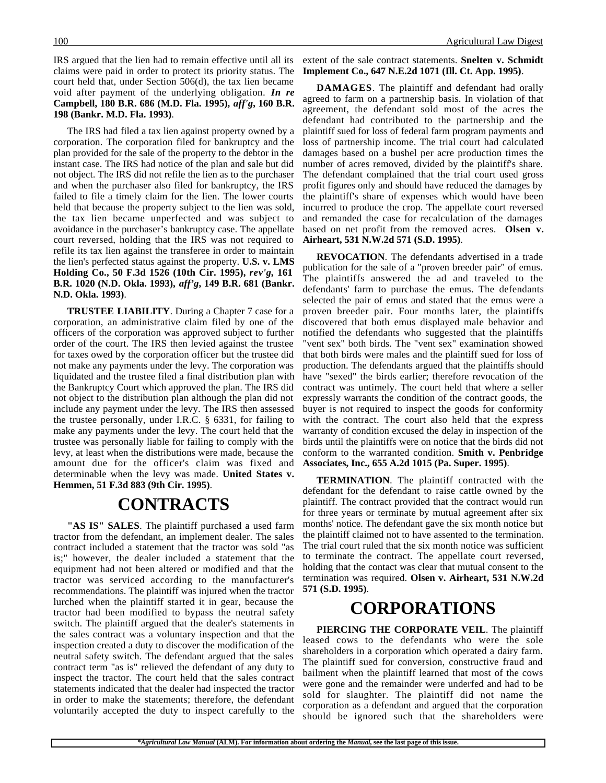IRS argued that the lien had to remain effective until all its claims were paid in order to protect its priority status. The court held that, under Section 506(d), the tax lien became void after payment of the underlying obligation. *In re* **Campbell, 180 B.R. 686 (M.D. Fla. 1995),** *aff'g***, 160 B.R. 198 (Bankr. M.D. Fla. 1993)**.

The IRS had filed a tax lien against property owned by a corporation. The corporation filed for bankruptcy and the plan provided for the sale of the property to the debtor in the instant case. The IRS had notice of the plan and sale but did not object. The IRS did not refile the lien as to the purchaser and when the purchaser also filed for bankruptcy, the IRS failed to file a timely claim for the lien. The lower courts held that because the property subject to the lien was sold, the tax lien became unperfected and was subject to avoidance in the purchaser's bankruptcy case. The appellate court reversed, holding that the IRS was not required to refile its tax lien against the transferee in order to maintain the lien's perfected status against the property. **U.S. v. LMS Holding Co., 50 F.3d 1526 (10th Cir. 1995),** *rev'g***, 161 B.R. 1020 (N.D. Okla. 1993),** *aff'g***, 149 B.R. 681 (Bankr. N.D. Okla. 1993)**.

**TRUSTEE LIABILITY**. During a Chapter 7 case for a corporation, an administrative claim filed by one of the officers of the corporation was approved subject to further order of the court. The IRS then levied against the trustee for taxes owed by the corporation officer but the trustee did not make any payments under the levy. The corporation was liquidated and the trustee filed a final distribution plan with the Bankruptcy Court which approved the plan. The IRS did not object to the distribution plan although the plan did not include any payment under the levy. The IRS then assessed the trustee personally, under I.R.C. § 6331, for failing to make any payments under the levy. The court held that the trustee was personally liable for failing to comply with the levy, at least when the distributions were made, because the amount due for the officer's claim was fixed and determinable when the levy was made. **United States v. Hemmen, 51 F.3d 883 (9th Cir. 1995)**.

### **CONTRACTS**

**"AS IS" SALES**. The plaintiff purchased a used farm tractor from the defendant, an implement dealer. The sales contract included a statement that the tractor was sold "as is;" however, the dealer included a statement that the equipment had not been altered or modified and that the tractor was serviced according to the manufacturer's recommendations. The plaintiff was injured when the tractor lurched when the plaintiff started it in gear, because the tractor had been modified to bypass the neutral safety switch. The plaintiff argued that the dealer's statements in the sales contract was a voluntary inspection and that the inspection created a duty to discover the modification of the neutral safety switch. The defendant argued that the sales contract term "as is" relieved the defendant of any duty to inspect the tractor. The court held that the sales contract statements indicated that the dealer had inspected the tractor in order to make the statements; therefore, the defendant voluntarily accepted the duty to inspect carefully to the

extent of the sale contract statements. **Snelten v. Schmidt Implement Co., 647 N.E.2d 1071 (Ill. Ct. App. 1995)**.

**DAMAGES**. The plaintiff and defendant had orally agreed to farm on a partnership basis. In violation of that agreement, the defendant sold most of the acres the defendant had contributed to the partnership and the plaintiff sued for loss of federal farm program payments and loss of partnership income. The trial court had calculated damages based on a bushel per acre production times the number of acres removed, divided by the plaintiff's share. The defendant complained that the trial court used gross profit figures only and should have reduced the damages by the plaintiff's share of expenses which would have been incurred to produce the crop. The appellate court reversed and remanded the case for recalculation of the damages based on net profit from the removed acres. **Olsen v. Airheart, 531 N.W.2d 571 (S.D. 1995)**.

**REVOCATION**. The defendants advertised in a trade publication for the sale of a "proven breeder pair" of emus. The plaintiffs answered the ad and traveled to the defendants' farm to purchase the emus. The defendants selected the pair of emus and stated that the emus were a proven breeder pair. Four months later, the plaintiffs discovered that both emus displayed male behavior and notified the defendants who suggested that the plaintiffs "vent sex" both birds. The "vent sex" examination showed that both birds were males and the plaintiff sued for loss of production. The defendants argued that the plaintiffs should have "sexed" the birds earlier; therefore revocation of the contract was untimely. The court held that where a seller expressly warrants the condition of the contract goods, the buyer is not required to inspect the goods for conformity with the contract. The court also held that the express warranty of condition excused the delay in inspection of the birds until the plaintiffs were on notice that the birds did not conform to the warranted condition. **Smith v. Penbridge Associates, Inc., 655 A.2d 1015 (Pa. Super. 1995)**.

**TERMINATION**. The plaintiff contracted with the defendant for the defendant to raise cattle owned by the plaintiff. The contract provided that the contract would run for three years or terminate by mutual agreement after six months' notice. The defendant gave the six month notice but the plaintiff claimed not to have assented to the termination. The trial court ruled that the six month notice was sufficient to terminate the contract. The appellate court reversed, holding that the contact was clear that mutual consent to the termination was required. **Olsen v. Airheart, 531 N.W.2d 571 (S.D. 1995)**.

### **CORPORATIONS**

**PIERCING THE CORPORATE VEIL**. The plaintiff leased cows to the defendants who were the sole shareholders in a corporation which operated a dairy farm. The plaintiff sued for conversion, constructive fraud and bailment when the plaintiff learned that most of the cows were gone and the remainder were underfed and had to be sold for slaughter. The plaintiff did not name the corporation as a defendant and argued that the corporation should be ignored such that the shareholders were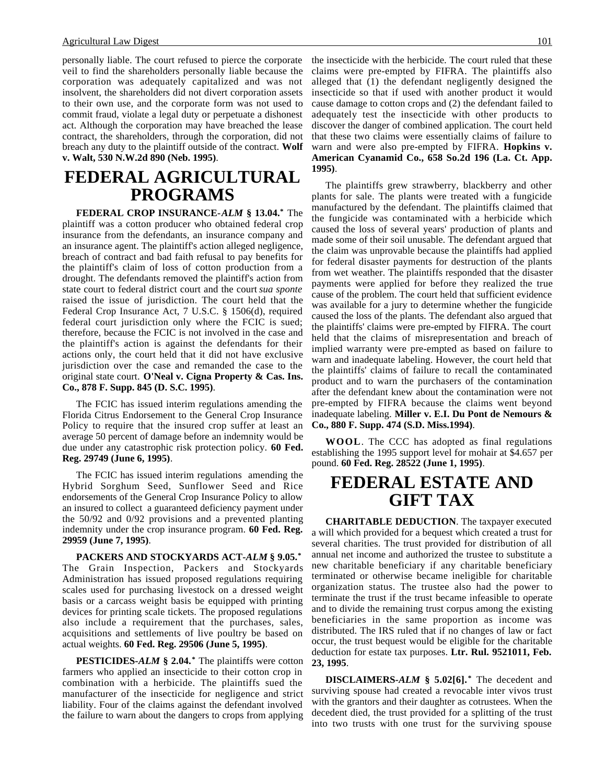personally liable. The court refused to pierce the corporate veil to find the shareholders personally liable because the corporation was adequately capitalized and was not insolvent, the shareholders did not divert corporation assets to their own use, and the corporate form was not used to commit fraud, violate a legal duty or perpetuate a dishonest act. Although the corporation may have breached the lease contract, the shareholders, through the corporation, did not breach any duty to the plaintiff outside of the contract. **Wolf v. Walt, 530 N.W.2d 890 (Neb. 1995)**.

## **FEDERAL AGRICULTURAL PROGRAMS**

**FEDERAL CROP INSURANCE-***ALM* **§ 13.04.\*** The plaintiff was a cotton producer who obtained federal crop insurance from the defendants, an insurance company and an insurance agent. The plaintiff's action alleged negligence, breach of contract and bad faith refusal to pay benefits for the plaintiff's claim of loss of cotton production from a drought. The defendants removed the plaintiff's action from state court to federal district court and the court *sua sponte* raised the issue of jurisdiction. The court held that the Federal Crop Insurance Act, 7 U.S.C. § 1506(d), required federal court jurisdiction only where the FCIC is sued; therefore, because the FCIC is not involved in the case and the plaintiff's action is against the defendants for their actions only, the court held that it did not have exclusive jurisdiction over the case and remanded the case to the original state court. **O'Neal v. Cigna Property & Cas. Ins. Co., 878 F. Supp. 845 (D. S.C. 1995)**.

The FCIC has issued interim regulations amending the Florida Citrus Endorsement to the General Crop Insurance Policy to require that the insured crop suffer at least an average 50 percent of damage before an indemnity would be due under any catastrophic risk protection policy. **60 Fed. Reg. 29749 (June 6, 1995)**.

The FCIC has issued interim regulations amending the Hybrid Sorghum Seed, Sunflower Seed and Rice endorsements of the General Crop Insurance Policy to allow an insured to collect a guaranteed deficiency payment under the 50/92 and 0/92 provisions and a prevented planting indemnity under the crop insurance program. **60 Fed. Reg. 29959 (June 7, 1995)**.

**PACKERS AND STOCKYARDS ACT-***ALM* **§ 9.05.\*** The Grain Inspection, Packers and Stockyards Administration has issued proposed regulations requiring scales used for purchasing livestock on a dressed weight basis or a carcass weight basis be equipped with printing devices for printing scale tickets. The proposed regulations also include a requirement that the purchases, sales, acquisitions and settlements of live poultry be based on actual weights. **60 Fed. Reg. 29506 (June 5, 1995)**.

**PESTICIDES-***ALM* **§ 2.04.\*** The plaintiffs were cotton farmers who applied an insecticide to their cotton crop in combination with a herbicide. The plaintiffs sued the manufacturer of the insecticide for negligence and strict liability. Four of the claims against the defendant involved the failure to warn about the dangers to crops from applying

the insecticide with the herbicide. The court ruled that these claims were pre-empted by FIFRA. The plaintiffs also alleged that (1) the defendant negligently designed the insecticide so that if used with another product it would cause damage to cotton crops and (2) the defendant failed to adequately test the insecticide with other products to discover the danger of combined application. The court held that these two claims were essentially claims of failure to warn and were also pre-empted by FIFRA. **Hopkins v. American Cyanamid Co., 658 So.2d 196 (La. Ct. App. 1995)**.

The plaintiffs grew strawberry, blackberry and other plants for sale. The plants were treated with a fungicide manufactured by the defendant. The plaintiffs claimed that the fungicide was contaminated with a herbicide which caused the loss of several years' production of plants and made some of their soil unusable. The defendant argued that the claim was unprovable because the plaintiffs had applied for federal disaster payments for destruction of the plants from wet weather. The plaintiffs responded that the disaster payments were applied for before they realized the true cause of the problem. The court held that sufficient evidence was available for a jury to determine whether the fungicide caused the loss of the plants. The defendant also argued that the plaintiffs' claims were pre-empted by FIFRA. The court held that the claims of misrepresentation and breach of implied warranty were pre-empted as based on failure to warn and inadequate labeling. However, the court held that the plaintiffs' claims of failure to recall the contaminated product and to warn the purchasers of the contamination after the defendant knew about the contamination were not pre-empted by FIFRA because the claims went beyond inadequate labeling. **Miller v. E.I. Du Pont de Nemours & Co., 880 F. Supp. 474 (S.D. Miss.1994)**.

**WOOL**. The CCC has adopted as final regulations establishing the 1995 support level for mohair at \$4.657 per pound. **60 Fed. Reg. 28522 (June 1, 1995)**.

### **FEDERAL ESTATE AND GIFT TAX**

**CHARITABLE DEDUCTION**. The taxpayer executed a will which provided for a bequest which created a trust for several charities. The trust provided for distribution of all annual net income and authorized the trustee to substitute a new charitable beneficiary if any charitable beneficiary terminated or otherwise became ineligible for charitable organization status. The trustee also had the power to terminate the trust if the trust became infeasible to operate and to divide the remaining trust corpus among the existing beneficiaries in the same proportion as income was distributed. The IRS ruled that if no changes of law or fact occur, the trust bequest would be eligible for the charitable deduction for estate tax purposes. **Ltr. Rul. 9521011, Feb. 23, 1995**.

**DISCLAIMERS-***ALM* **§ 5.02[6]. \*** The decedent and surviving spouse had created a revocable inter vivos trust with the grantors and their daughter as cotrustees. When the decedent died, the trust provided for a splitting of the trust into two trusts with one trust for the surviving spouse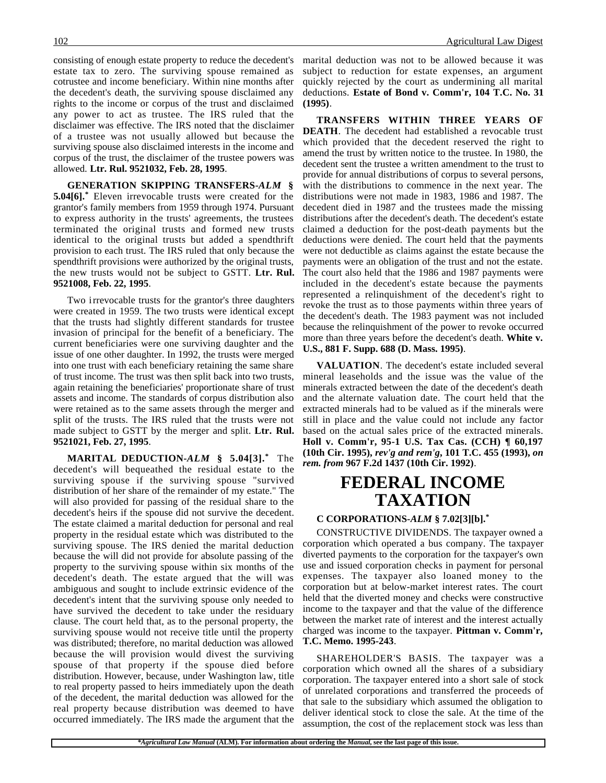consisting of enough estate property to reduce the decedent's estate tax to zero. The surviving spouse remained as cotrustee and income beneficiary. Within nine months after the decedent's death, the surviving spouse disclaimed any rights to the income or corpus of the trust and disclaimed any power to act as trustee. The IRS ruled that the disclaimer was effective. The IRS noted that the disclaimer of a trustee was not usually allowed but because the surviving spouse also disclaimed interests in the income and corpus of the trust, the disclaimer of the trustee powers was allowed. **Ltr. Rul. 9521032, Feb. 28, 1995**.

**GENERATION SKIPPING TRANSFERS-***ALM* **§ 5.04[6].\*** Eleven irrevocable trusts were created for the grantor's family members from 1959 through 1974. Pursuant to express authority in the trusts' agreements, the trustees terminated the original trusts and formed new trusts identical to the original trusts but added a spendthrift provision to each trust. The IRS ruled that only because the spendthrift provisions were authorized by the original trusts, the new trusts would not be subject to GSTT. **Ltr. Rul. 9521008, Feb. 22, 1995**.

Two irrevocable trusts for the grantor's three daughters were created in 1959. The two trusts were identical except that the trusts had slightly different standards for trustee invasion of principal for the benefit of a beneficiary. The current beneficiaries were one surviving daughter and the issue of one other daughter. In 1992, the trusts were merged into one trust with each beneficiary retaining the same share of trust income. The trust was then split back into two trusts, again retaining the beneficiaries' proportionate share of trust assets and income. The standards of corpus distribution also were retained as to the same assets through the merger and split of the trusts. The IRS ruled that the trusts were not made subject to GSTT by the merger and split. **Ltr. Rul. 9521021, Feb. 27, 1995**.

**MARITAL DEDUCTION-***ALM* **§ 5.04[3].\*** The decedent's will bequeathed the residual estate to the surviving spouse if the surviving spouse "survived distribution of her share of the remainder of my estate." The will also provided for passing of the residual share to the decedent's heirs if the spouse did not survive the decedent. The estate claimed a marital deduction for personal and real property in the residual estate which was distributed to the surviving spouse. The IRS denied the marital deduction because the will did not provide for absolute passing of the property to the surviving spouse within six months of the decedent's death. The estate argued that the will was ambiguous and sought to include extrinsic evidence of the decedent's intent that the surviving spouse only needed to have survived the decedent to take under the residuary clause. The court held that, as to the personal property, the surviving spouse would not receive title until the property was distributed; therefore, no marital deduction was allowed because the will provision would divest the surviving spouse of that property if the spouse died before distribution. However, because, under Washington law, title to real property passed to heirs immediately upon the death of the decedent, the marital deduction was allowed for the real property because distribution was deemed to have occurred immediately. The IRS made the argument that the

marital deduction was not to be allowed because it was subject to reduction for estate expenses, an argument quickly rejected by the court as undermining all marital deductions. **Estate of Bond v. Comm'r, 104 T.C. No. 31 (1995)**.

**TRANSFERS WITHIN THREE YEARS OF DEATH**. The decedent had established a revocable trust which provided that the decedent reserved the right to amend the trust by written notice to the trustee. In 1980, the decedent sent the trustee a written amendment to the trust to provide for annual distributions of corpus to several persons, with the distributions to commence in the next year. The distributions were not made in 1983, 1986 and 1987. The decedent died in 1987 and the trustees made the missing distributions after the decedent's death. The decedent's estate claimed a deduction for the post-death payments but the deductions were denied. The court held that the payments were not deductible as claims against the estate because the payments were an obligation of the trust and not the estate. The court also held that the 1986 and 1987 payments were included in the decedent's estate because the payments represented a relinquishment of the decedent's right to revoke the trust as to those payments within three years of the decedent's death. The 1983 payment was not included because the relinquishment of the power to revoke occurred more than three years before the decedent's death. **White v. U.S., 881 F. Supp. 688 (D. Mass. 1995)**.

**VALUATION**. The decedent's estate included several mineral leaseholds and the issue was the value of the minerals extracted between the date of the decedent's death and the alternate valuation date. The court held that the extracted minerals had to be valued as if the minerals were still in place and the value could not include any factor based on the actual sales price of the extracted minerals. **Holl v. Comm'r, 95-1 U.S. Tax Cas. (CCH) ¶ 60,197 (10th Cir. 1995),** *rev'g and rem'g***, 101 T.C. 455 (1993),** *on rem. from* **967 F.2d 1437 (10th Cir. 1992)**.

## **FEDERAL INCOME TAXATION**

#### **C CORPORATIONS-***ALM* **§ 7.02[3][b].\***

CONSTRUCTIVE DIVIDENDS. The taxpayer owned a corporation which operated a bus company. The taxpayer diverted payments to the corporation for the taxpayer's own use and issued corporation checks in payment for personal expenses. The taxpayer also loaned money to the corporation but at below-market interest rates. The court held that the diverted money and checks were constructive income to the taxpayer and that the value of the difference between the market rate of interest and the interest actually charged was income to the taxpayer. **Pittman v. Comm'r, T.C. Memo. 1995-243**.

SHAREHOLDER'S BASIS. The taxpayer was a corporation which owned all the shares of a subsidiary corporation. The taxpayer entered into a short sale of stock of unrelated corporations and transferred the proceeds of that sale to the subsidiary which assumed the obligation to deliver identical stock to close the sale. At the time of the assumption, the cost of the replacement stock was less than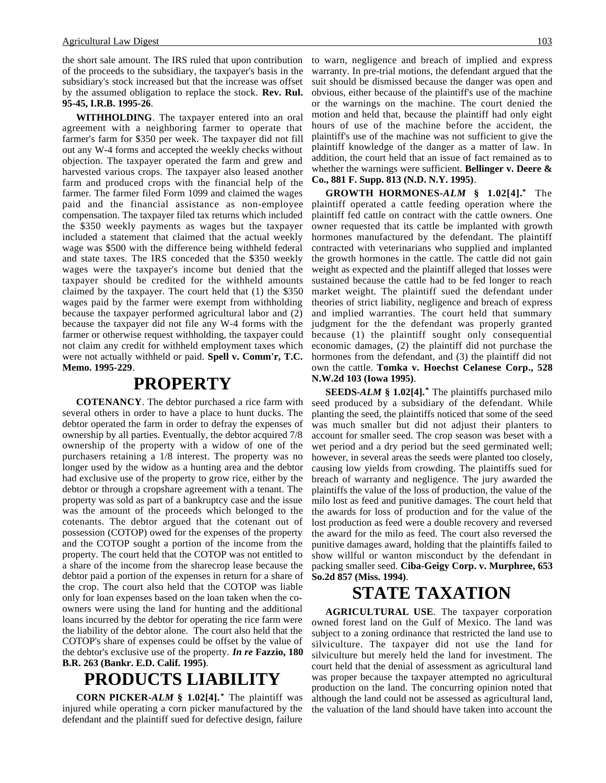the short sale amount. The IRS ruled that upon contribution of the proceeds to the subsidiary, the taxpayer's basis in the subsidiary's stock increased but that the increase was offset by the assumed obligation to replace the stock. **Rev. Rul. 95-45, I.R.B. 1995-26**.

**WITHHOLDING**. The taxpayer entered into an oral agreement with a neighboring farmer to operate that farmer's farm for \$350 per week. The taxpayer did not fill out any W-4 forms and accepted the weekly checks without objection. The taxpayer operated the farm and grew and harvested various crops. The taxpayer also leased another farm and produced crops with the financial help of the farmer. The farmer filed Form 1099 and claimed the wages paid and the financial assistance as non-employee compensation. The taxpayer filed tax returns which included the \$350 weekly payments as wages but the taxpayer included a statement that claimed that the actual weekly wage was \$500 with the difference being withheld federal and state taxes. The IRS conceded that the \$350 weekly wages were the taxpayer's income but denied that the taxpayer should be credited for the withheld amounts claimed by the taxpayer. The court held that (1) the \$350 wages paid by the farmer were exempt from withholding because the taxpayer performed agricultural labor and (2) because the taxpayer did not file any W-4 forms with the farmer or otherwise request withholding, the taxpayer could not claim any credit for withheld employment taxes which were not actually withheld or paid. **Spell v. Comm'r, T.C. Memo. 1995-229**.

### **PROPERTY**

**COTENANCY**. The debtor purchased a rice farm with several others in order to have a place to hunt ducks. The debtor operated the farm in order to defray the expenses of ownership by all parties. Eventually, the debtor acquired 7/8 ownership of the property with a widow of one of the purchasers retaining a 1/8 interest. The property was no longer used by the widow as a hunting area and the debtor had exclusive use of the property to grow rice, either by the debtor or through a cropshare agreement with a tenant. The property was sold as part of a bankruptcy case and the issue was the amount of the proceeds which belonged to the cotenants. The debtor argued that the cotenant out of possession (COTOP) owed for the expenses of the property and the COTOP sought a portion of the income from the property. The court held that the COTOP was not entitled to a share of the income from the sharecrop lease because the debtor paid a portion of the expenses in return for a share of the crop. The court also held that the COTOP was liable only for loan expenses based on the loan taken when the coowners were using the land for hunting and the additional loans incurred by the debtor for operating the rice farm were the liability of the debtor alone. The court also held that the COTOP's share of expenses could be offset by the value of the debtor's exclusive use of the property. *In re* **Fazzio, 180 B.R. 263 (Bankr. E.D. Calif. 1995)**.

# **PRODUCTS LIABILITY**

**CORN PICKER-***ALM* **§ 1.02[4]. \*** The plaintiff was injured while operating a corn picker manufactured by the defendant and the plaintiff sued for defective design, failure to warn, negligence and breach of implied and express warranty. In pre-trial motions, the defendant argued that the suit should be dismissed because the danger was open and obvious, either because of the plaintiff's use of the machine or the warnings on the machine. The court denied the motion and held that, because the plaintiff had only eight hours of use of the machine before the accident, the plaintiff's use of the machine was not sufficient to give the plaintiff knowledge of the danger as a matter of law. In addition, the court held that an issue of fact remained as to whether the warnings were sufficient. **Bellinger v. Deere & Co., 881 F. Supp. 813 (N.D. N.Y. 1995)**.

**GROWTH HORMONES-***ALM* **§ 1.02[4].\*** The plaintiff operated a cattle feeding operation where the plaintiff fed cattle on contract with the cattle owners. One owner requested that its cattle be implanted with growth hormones manufactured by the defendant. The plaintiff contracted with veterinarians who supplied and implanted the growth hormones in the cattle. The cattle did not gain weight as expected and the plaintiff alleged that losses were sustained because the cattle had to be fed longer to reach market weight. The plaintiff sued the defendant under theories of strict liability, negligence and breach of express and implied warranties. The court held that summary judgment for the the defendant was properly granted because (1) the plaintiff sought only consequential economic damages, (2) the plaintiff did not purchase the hormones from the defendant, and (3) the plaintiff did not own the cattle. **Tomka v. Hoechst Celanese Corp., 528 N.W.2d 103 (Iowa 1995)**.

**SEEDS-***ALM* **§ 1.02[4].\*** The plaintiffs purchased milo seed produced by a subsidiary of the defendant. While planting the seed, the plaintiffs noticed that some of the seed was much smaller but did not adjust their planters to account for smaller seed. The crop season was beset with a wet period and a dry period but the seed germinated well; however, in several areas the seeds were planted too closely, causing low yields from crowding. The plaintiffs sued for breach of warranty and negligence. The jury awarded the plaintiffs the value of the loss of production, the value of the milo lost as feed and punitive damages. The court held that the awards for loss of production and for the value of the lost production as feed were a double recovery and reversed the award for the milo as feed. The court also reversed the punitive damages award, holding that the plaintiffs failed to show willful or wanton misconduct by the defendant in packing smaller seed. **Ciba-Geigy Corp. v. Murphree, 653 So.2d 857 (Miss. 1994)**.

# **STATE TAXATION**

**AGRICULTURAL USE**. The taxpayer corporation owned forest land on the Gulf of Mexico. The land was subject to a zoning ordinance that restricted the land use to silviculture. The taxpayer did not use the land for silviculture but merely held the land for investment. The court held that the denial of assessment as agricultural land was proper because the taxpayer attempted no agricultural production on the land. The concurring opinion noted that although the land could not be assessed as agricultural land, the valuation of the land should have taken into account the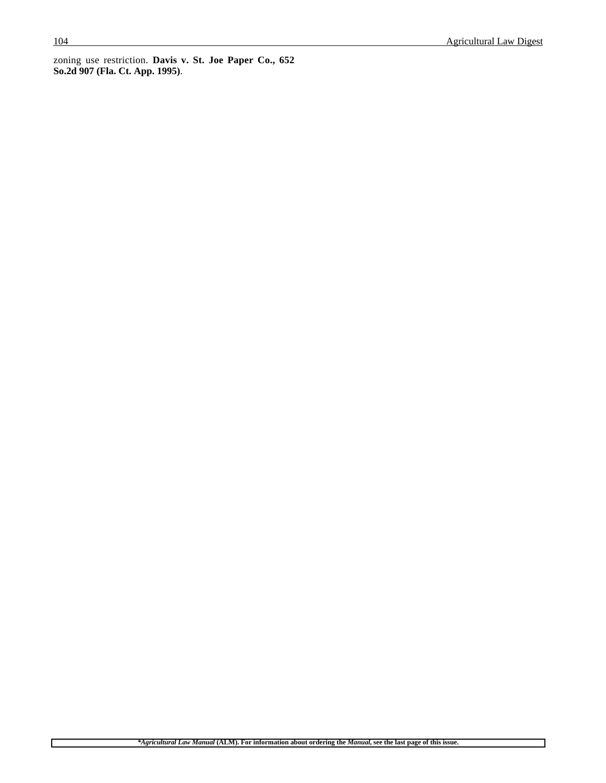$\Gamma$ 

٦

zoning use restriction. **Davis v. St. Joe Paper Co., 652 So.2d 907 (Fla. Ct. App. 1995)**.